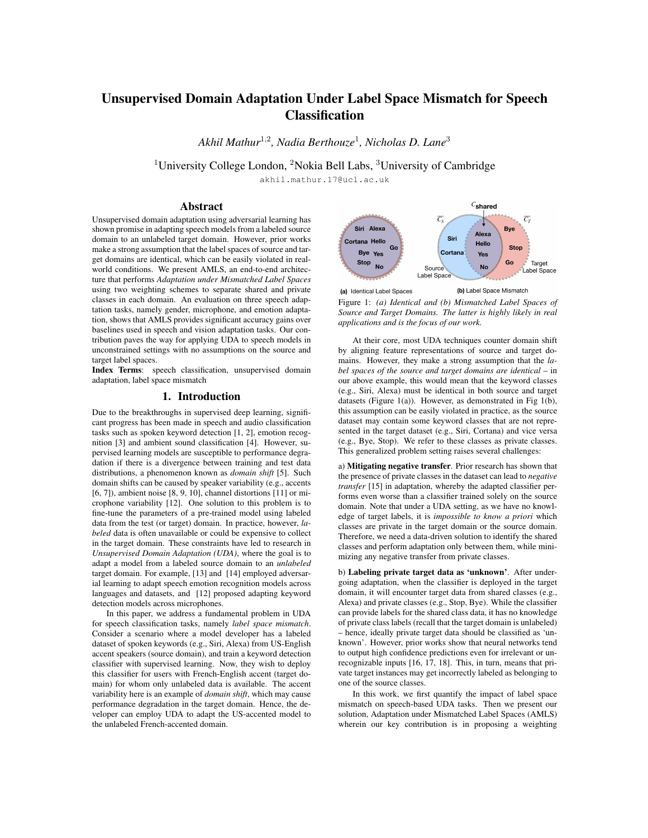# Unsupervised Domain Adaptation Under Label Space Mismatch for Speech **Classification**

*Akhil Mathur*<sup>1</sup>*,*<sup>2</sup>*, Nadia Berthouze*<sup>1</sup>*, Nicholas D. Lane*<sup>3</sup>

<sup>1</sup>University College London, <sup>2</sup>Nokia Bell Labs, <sup>3</sup>University of Cambridge

akhil.mathur.17@ucl.ac.uk

## Abstract

Unsupervised domain adaptation using adversarial learning has shown promise in adapting speech models from a labeled source domain to an unlabeled target domain. However, prior works make a strong assumption that the label spaces of source and target domains are identical, which can be easily violated in realworld conditions. We present AMLS, an end-to-end architecture that performs *Adaptation under Mismatched Label Spaces* using two weighting schemes to separate shared and private classes in each domain. An evaluation on three speech adaptation tasks, namely gender, microphone, and emotion adaptation, shows that AMLS provides significant accuracy gains over baselines used in speech and vision adaptation tasks. Our contribution paves the way for applying UDA to speech models in unconstrained settings with no assumptions on the source and target label spaces.

Index Terms: speech classification, unsupervised domain adaptation, label space mismatch

## 1. Introduction

Due to the breakthroughs in supervised deep learning, significant progress has been made in speech and audio classification tasks such as spoken keyword detection [1, 2], emotion recognition [3] and ambient sound classification [4]. However, supervised learning models are susceptible to performance degradation if there is a divergence between training and test data distributions, a phenomenon known as *domain shift* [5]. Such domain shifts can be caused by speaker variability (e.g., accents [6, 7]), ambient noise [8, 9, 10], channel distortions [11] or microphone variability [12]. One solution to this problem is to fine-tune the parameters of a pre-trained model using labeled data from the test (or target) domain. In practice, however, *labeled* data is often unavailable or could be expensive to collect in the target domain. These constraints have led to research in *Unsupervised Domain Adaptation (UDA)*, where the goal is to adapt a model from a labeled source domain to an *unlabeled* target domain. For example, [13] and [14] employed adversarial learning to adapt speech emotion recognition models across languages and datasets, and [12] proposed adapting keyword detection models across microphones.

In this paper, we address a fundamental problem in UDA for speech classification tasks, namely *label space mismatch*. Consider a scenario where a model developer has a labeled dataset of spoken keywords (e.g., Siri, Alexa) from US-English accent speakers (source domain), and train a keyword detection classifier with supervised learning. Now, they wish to deploy this classifier for users with French-English accent (target domain) for whom only unlabeled data is available. The accent variability here is an example of *domain shift*, which may cause performance degradation in the target domain. Hence, the developer can employ UDA to adapt the US-accented model to the unlabeled French-accented domain.



Figure 1: *(a) Identical and (b) Mismatched Label Spaces of Source and Target Domains. The latter is highly likely in real applications and is the focus of our work.*

At their core, most UDA techniques counter domain shift by aligning feature representations of source and target domains. However, they make a strong assumption that the *label spaces of the source and target domains are identical* – in our above example, this would mean that the keyword classes (e.g., Siri, Alexa) must be identical in both source and target datasets (Figure 1(a)). However, as demonstrated in Fig 1(b), this assumption can be easily violated in practice, as the source dataset may contain some keyword classes that are not represented in the target dataset (e.g., Siri, Cortana) and vice versa (e.g., Bye, Stop). We refer to these classes as private classes. This generalized problem setting raises several challenges:

a) Mitigating negative transfer. Prior research has shown that the presence of private classes in the dataset can lead to *negative transfer* [15] in adaptation, whereby the adapted classifier performs even worse than a classifier trained solely on the source domain. Note that under a UDA setting, as we have no knowledge of target labels, it is *impossible to know a priori* which classes are private in the target domain or the source domain. Therefore, we need a data-driven solution to identify the shared classes and perform adaptation only between them, while minimizing any negative transfer from private classes.

b) Labeling private target data as 'unknown'. After undergoing adaptation, when the classifier is deployed in the target domain, it will encounter target data from shared classes (e.g., Alexa) and private classes (e.g., Stop, Bye). While the classifier can provide labels for the shared class data, it has no knowledge of private class labels (recall that the target domain is unlabeled) – hence, ideally private target data should be classified as 'unknown'. However, prior works show that neural networks tend to output high confidence predictions even for irrelevant or unrecognizable inputs [16, 17, 18]. This, in turn, means that private target instances may get incorrectly labeled as belonging to one of the source classes.

In this work, we first quantify the impact of label space mismatch on speech-based UDA tasks. Then we present our solution, Adaptation under Mismatched Label Spaces (AMLS) wherein our key contribution is in proposing a weighting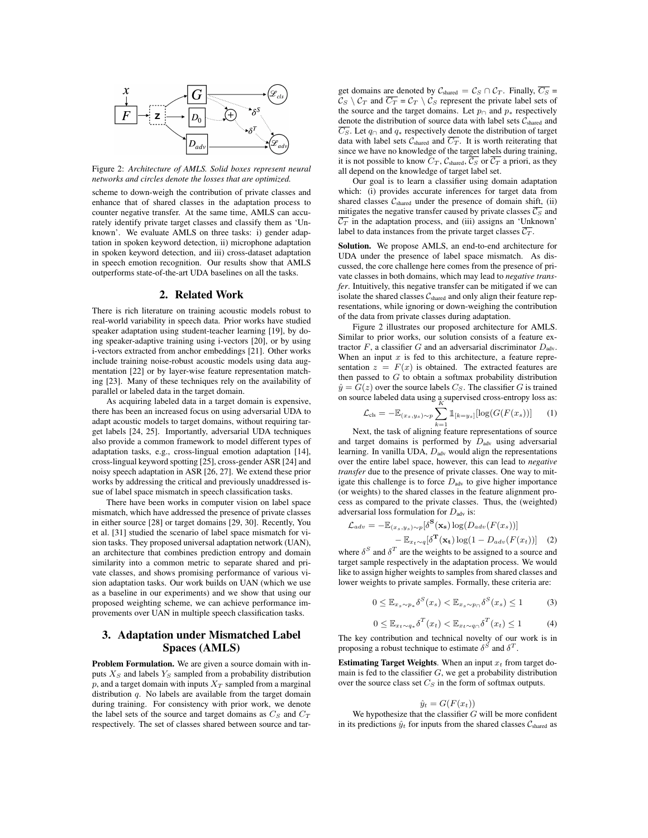

Figure 2: *Architecture of AMLS. Solid boxes represent neural networks and circles denote the losses that are optimized.*

scheme to down-weigh the contribution of private classes and enhance that of shared classes in the adaptation process to counter negative transfer. At the same time, AMLS can accurately identify private target classes and classify them as 'Unknown'. We evaluate AMLS on three tasks: i) gender adaptation in spoken keyword detection, ii) microphone adaptation in spoken keyword detection, and iii) cross-dataset adaptation in speech emotion recognition. Our results show that AMLS outperforms state-of-the-art UDA baselines on all the tasks.

#### 2. Related Work

There is rich literature on training acoustic models robust to real-world variability in speech data. Prior works have studied speaker adaptation using student-teacher learning [19], by doing speaker-adaptive training using i-vectors [20], or by using i-vectors extracted from anchor embeddings [21]. Other works include training noise-robust acoustic models using data augmentation [22] or by layer-wise feature representation matching [23]. Many of these techniques rely on the availability of parallel or labeled data in the target domain.

As acquiring labeled data in a target domain is expensive, there has been an increased focus on using adversarial UDA to adapt acoustic models to target domains, without requiring target labels [24, 25]. Importantly, adversarial UDA techniques also provide a common framework to model different types of adaptation tasks, e.g., cross-lingual emotion adaptation [14], cross-lingual keyword spotting [25], cross-gender ASR [24] and noisy speech adaptation in ASR [26, 27]. We extend these prior works by addressing the critical and previously unaddressed issue of label space mismatch in speech classification tasks.

There have been works in computer vision on label space mismatch, which have addressed the presence of private classes in either source [28] or target domains [29, 30]. Recently, You et al. [31] studied the scenario of label space mismatch for vision tasks. They proposed universal adaptation network (UAN), an architecture that combines prediction entropy and domain similarity into a common metric to separate shared and private classes, and shows promising performance of various vision adaptation tasks. Our work builds on UAN (which we use as a baseline in our experiments) and we show that using our proposed weighting scheme, we can achieve performance improvements over UAN in multiple speech classification tasks.

# 3. Adaptation under Mismatched Label Spaces (AMLS)

Problem Formulation. We are given a source domain with inputs *X<sup>S</sup>* and labels *Y<sup>S</sup>* sampled from a probability distribution  $p$ , and a target domain with inputs  $X_T$  sampled from a marginal distribution *q*. No labels are available from the target domain during training. For consistency with prior work, we denote the label sets of the source and target domains as *C<sup>S</sup>* and *C<sup>T</sup>* respectively. The set of classes shared between source and target domains are denoted by  $C_{\text{shared}} = C_S \cap C_T$ . Finally,  $\overline{C_S}$  =  $C_S \setminus C_T$  and  $\overline{C_T} = C_T \setminus C_S$  represent the private label sets of the source and the target domains. Let  $p_{\cap}$  and  $p_*$  respectively denote the distribution of source data with label sets *C*shared and  $\overline{C_S}$ . Let  $q_\cap$  and  $q_*$  respectively denote the distribution of target data with label sets  $C_{\text{shared}}$  and  $\overline{C_T}$ . It is worth reiterating that since we have no knowledge of the target labels during training, it is not possible to know  $C_T$ ,  $C_{shared}$ ,  $\overline{C_S}$  or  $\overline{C_T}$  a priori, as they all depend on the knowledge of target label set.

Our goal is to learn a classifier using domain adaptation which: (i) provides accurate inferences for target data from shared classes  $C_{\text{shared}}$  under the presence of domain shift, (ii) mitigates the negative transfer caused by private classes  $\overline{\mathcal{C}_S}$  and  $\overline{C_T}$  in the adaptation process, and (iii) assigns an 'Unknown' label to data instances from the private target classes  $\overline{C_T}$ .

Solution. We propose AMLS, an end-to-end architecture for UDA under the presence of label space mismatch. As discussed, the core challenge here comes from the presence of private classes in both domains, which may lead to *negative transfer*. Intuitively, this negative transfer can be mitigated if we can isolate the shared classes *C*shared and only align their feature representations, while ignoring or down-weighing the contribution of the data from private classes during adaptation.

Figure 2 illustrates our proposed architecture for AMLS. Similar to prior works, our solution consists of a feature extractor  $F$ , a classifier  $G$  and an adversarial discriminator  $D_{adv}$ . When an input x is fed to this architecture, a feature representation  $z = F(x)$  is obtained. The extracted features are then passed to *G* to obtain a softmax probability distribution  $\hat{y} = G(z)$  over the source labels  $C_S$ . The classifier *G* is trained on source labeled data using a supervised cross-entropy loss as:

$$
\mathcal{L}_{\text{cls}} = -\mathbb{E}_{(x_s, y_s) \sim p} \sum_{k=1}^{K} \mathbb{1}_{[k=y_s]} [\log(G(F(x_s))]
$$
 (1)

Next, the task of aligning feature representations of source and target domains is performed by  $D<sub>adv</sub>$  using adversarial learning. In vanilla UDA,  $D_{adv}$  would align the representations over the entire label space, however, this can lead to *negative transfer* due to the presence of private classes. One way to mitigate this challenge is to force  $D<sub>adv</sub>$  to give higher importance (or weights) to the shared classes in the feature alignment process as compared to the private classes. Thus, the (weighted) adversarial loss formulation for  $D_{adv}$  is:

$$
\mathcal{L}_{adv} = -\mathbb{E}_{(x_s, y_s) \sim p}[\delta^{\mathbf{S}}(\mathbf{x_s}) \log(D_{adv}(F(x_s)))] - \mathbb{E}_{x_t \sim q}[\delta^{\mathbf{T}}(\mathbf{x_t}) \log(1 - D_{adv}(F(x_t)))] \quad (2)
$$

where  $\delta^S$  and  $\delta^T$  are the weights to be assigned to a source and target sample respectively in the adaptation process. We would like to assign higher weights to samples from shared classes and lower weights to private samples. Formally, these criteria are:

$$
0 \leq \mathbb{E}_{x_s \sim p_*} \delta^S(x_s) < \mathbb{E}_{x_s \sim p_\cap} \delta^S(x_s) \leq 1 \tag{3}
$$

$$
0 \leq \mathbb{E}_{x_t \sim q_*} \delta^T(x_t) < \mathbb{E}_{x_t \sim q_\cap} \delta^T(x_t) \leq 1 \tag{4}
$$

The key contribution and technical novelty of our work is in proposing a robust technique to estimate  $\delta^S$  and  $\delta^T$ .

Estimating Target Weights. When an input *x<sup>t</sup>* from target domain is fed to the classifier *G*, we get a probability distribution over the source class set  $C_S$  in the form of softmax outputs.

$$
\hat{y}_t = G(F(x_t))
$$

We hypothesize that the classifier *G* will be more confident in its predictions  $\hat{y}_t$  for inputs from the shared classes  $\mathcal{C}_{\text{shared}}$  as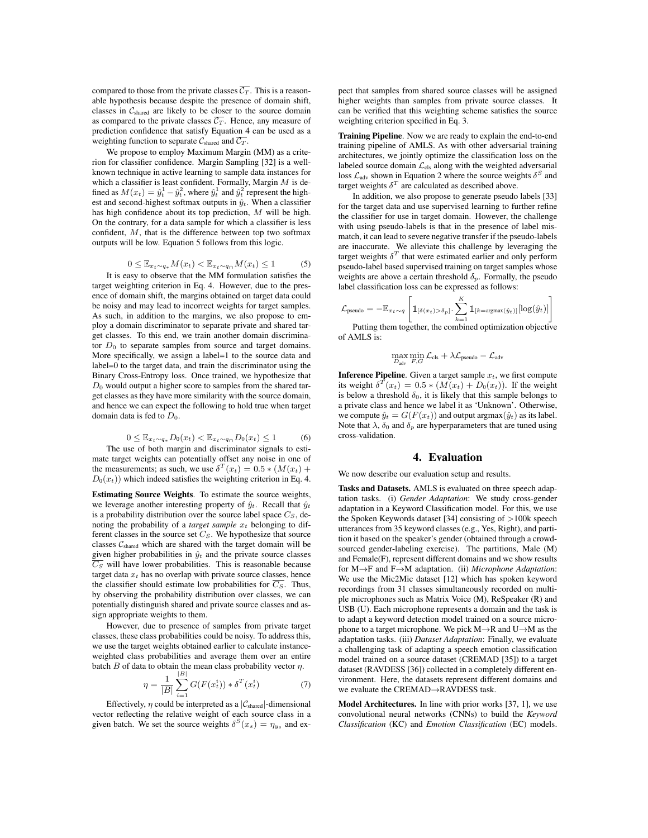compared to those from the private classes  $\overline{C_T}$ . This is a reasonable hypothesis because despite the presence of domain shift, classes in *C*shared are likely to be closer to the source domain as compared to the private classes  $\overline{C_T}$ . Hence, any measure of prediction confidence that satisfy Equation 4 can be used as a weighting function to separate  $C_{\text{shared}}$  and  $\overline{C_T}$ .

We propose to employ Maximum Margin (MM) as a criterion for classifier confidence. Margin Sampling [32] is a wellknown technique in active learning to sample data instances for which a classifier is least confident. Formally, Margin *M* is defined as  $M(x_t) = \hat{y}_t^1 - \hat{y}_t^2$ , where  $\hat{y}_t^1$  and  $\hat{y}_t^2$  represent the highest and second-highest softmax outputs in  $\hat{y}_t$ . When a classifier has high confidence about its top prediction, *M* will be high. On the contrary, for a data sample for which a classifier is less confident, *M*, that is the difference between top two softmax outputs will be low. Equation 5 follows from this logic.

$$
0 \le \mathbb{E}_{x_t \sim q_*} M(x_t) < \mathbb{E}_{x_t \sim q \cap} M(x_t) \le 1 \tag{5}
$$

It is easy to observe that the MM formulation satisfies the target weighting criterion in Eq. 4. However, due to the presence of domain shift, the margins obtained on target data could be noisy and may lead to incorrect weights for target samples. As such, in addition to the margins, we also propose to employ a domain discriminator to separate private and shared target classes. To this end, we train another domain discriminator  $D_0$  to separate samples from source and target domains. More specifically, we assign a label=1 to the source data and label=0 to the target data, and train the discriminator using the Binary Cross-Entropy loss. Once trained, we hypothesize that  $D_0$  would output a higher score to samples from the shared target classes as they have more similarity with the source domain, and hence we can expect the following to hold true when target domain data is fed to *D*0.

$$
0 \le \mathbb{E}_{x_t \sim q_*} D_0(x_t) < \mathbb{E}_{x_t \sim q_\cap} D_0(x_t) \le 1 \tag{6}
$$

The use of both margin and discriminator signals to estimate target weights can potentially offset any noise in one of the measurements; as such, we use  $\delta^T(x_t)=0.5 * (M(x_t) +$  $D_0(x_t)$  which indeed satisfies the weighting criterion in Eq. 4.

Estimating Source Weights. To estimate the source weights, we leverage another interesting property of  $\hat{y}_t$ . Recall that  $\hat{y}_t$ is a probability distribution over the source label space  $C_S$ , denoting the probability of a *target sample*  $x_t$  belonging to different classes in the source set *CS*. We hypothesize that source classes *C*shared which are shared with the target domain will be given higher probabilities in  $\hat{y}_t$  and the private source classes  $\overline{C_S}$  will have lower probabilities. This is reasonable because target data  $x_t$  has no overlap with private source classes, hence the classifier should estimate low probabilities for  $\overline{C_S}$ . Thus, by observing the probability distribution over classes, we can potentially distinguish shared and private source classes and assign appropriate weights to them.

However, due to presence of samples from private target classes, these class probabilities could be noisy. To address this, we use the target weights obtained earlier to calculate instanceweighted class probabilities and average them over an entire batch  $B$  of data to obtain the mean class probability vector  $\eta$ .

$$
\eta = \frac{1}{|B|} \sum_{i=1}^{|B|} G(F(x_t^i)) * \delta^T(x_t^i)
$$
(7)

Effectively,  $\eta$  could be interpreted as a  $|C_{\text{shared}}|$ -dimensional vector reflecting the relative weight of each source class in a given batch. We set the source weights  $\delta^{S}(x_s) = \eta_{y_s}$  and ex-

pect that samples from shared source classes will be assigned higher weights than samples from private source classes. It can be verified that this weighting scheme satisfies the source weighting criterion specified in Eq. 3.

Training Pipeline. Now we are ready to explain the end-to-end training pipeline of AMLS. As with other adversarial training architectures, we jointly optimize the classification loss on the labeled source domain  $\mathcal{L}_{cls}$  along with the weighted adversarial loss  $\mathcal{L}_{\text{adv}}$  shown in Equation 2 where the source weights  $\delta^S$  and target weights  $\delta^T$  are calculated as described above.

In addition, we also propose to generate pseudo labels [33] for the target data and use supervised learning to further refine the classifier for use in target domain. However, the challenge with using pseudo-labels is that in the presence of label mismatch, it can lead to severe negative transfer if the pseudo-labels are inaccurate. We alleviate this challenge by leveraging the target weights  $\delta^T$  that were estimated earlier and only perform pseudo-label based supervised training on target samples whose weights are above a certain threshold  $\delta_n$ . Formally, the pseudo label classification loss can be expressed as follows:

$$
\mathcal{L}_{\text{pseudo}} = -\mathbb{E}_{x_t \sim q}\left[\mathbbm{1}_{[\delta(x_t) > \delta_p] \cdot \sum_{k=1}^K \mathbbm{1}_{[k = \text{argmax}(\hat{y}_t)]}[\log(\hat{y}_t)]}\right]
$$

 $k=1$ <br>Putting them together, the combined optimization objective of AMLS is:

$$
\max_{D_{\text{adv}}} \min_{F,G} \mathcal{L}_{\text{cls}} + \lambda \mathcal{L}_{\text{pseudo}} - \mathcal{L}_{\text{adv}}
$$

**Inference Pipeline**. Given a target sample  $x_t$ , we first compute its weight  $\delta^{T}(x_t)=0.5 * (M(x_t)+D_0(x_t))$ . If the weight is below a threshold  $\delta_0$ , it is likely that this sample belongs to a private class and hence we label it as 'Unknown'. Otherwise, we compute  $\hat{y}_t = G(F(x_t))$  and output argmax $(\hat{y}_t)$  as its label. Note that  $\lambda$ ,  $\delta_0$  and  $\delta_p$  are hyperparameters that are tuned using cross-validation.

### 4. Evaluation

We now describe our evaluation setup and results.

Tasks and Datasets. AMLS is evaluated on three speech adaptation tasks. (i) *Gender Adaptation*: We study cross-gender adaptation in a Keyword Classification model. For this, we use the Spoken Keywords dataset [34] consisting of *>*100k speech utterances from 35 keyword classes (e.g., Yes, Right), and partition it based on the speaker's gender (obtained through a crowdsourced gender-labeling exercise). The partitions, Male (M) and Female(F), represent different domains and we show results for  $M \rightarrow F$  and  $F \rightarrow M$  adaptation. (ii) *Microphone Adaptation*: We use the Mic2Mic dataset [12] which has spoken keyword recordings from 31 classes simultaneously recorded on multiple microphones such as Matrix Voice (M), ReSpeaker (R) and USB (U). Each microphone represents a domain and the task is to adapt a keyword detection model trained on a source microphone to a target microphone. We pick  $M \rightarrow R$  and  $U \rightarrow M$  as the adaptation tasks. (iii) *Dataset Adaptation*: Finally, we evaluate a challenging task of adapting a speech emotion classification model trained on a source dataset (CREMAD [35]) to a target dataset (RAVDESS [36]) collected in a completely different environment. Here, the datasets represent different domains and we evaluate the CREMAD $\rightarrow$ RAVDESS task.

Model Architectures. In line with prior works [37, 1], we use convolutional neural networks (CNNs) to build the *Keyword Classification* (KC) and *Emotion Classification* (EC) models.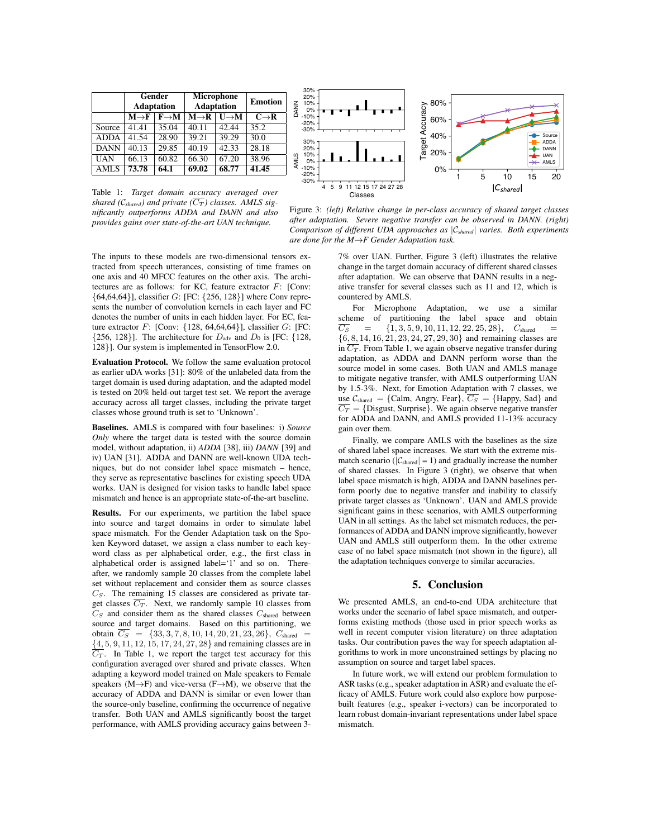|                   | Gender<br><b>Adaptation</b> |                   | Microphone<br><b>Adaptation</b>              |                   | <b>Emotion</b>   |
|-------------------|-----------------------------|-------------------|----------------------------------------------|-------------------|------------------|
|                   | $M \rightarrow F$           | $F \rightarrow M$ | $\overline{\mathbf{M}\rightarrow\mathbf{R}}$ | $I \rightarrow M$ | $C\rightarrow R$ |
| Source            | 41.41                       | 35.04             | 40.11                                        | 42.44             | 35.2             |
| <b>ADDA</b>       | 41.54                       | 28.90             | 39.21                                        | 39.29             | 30.0             |
| <b>DANN</b>       | 40.13                       | 29.85             | 40.19                                        | 42.33             | 28.18            |
| <b>UAN</b>        | 66.13                       | 60.82             | 66.30                                        | 67.20             | 38.96            |
| $\overline{AMLS}$ | 73.78                       | 64.1              | 69.02                                        | 68.77             | 41.45            |



Table 1: *Target domain accuracy averaged over shared (C<sub>shared</sub>) and private (* $\overline{C_T}$ *) classes. AMLS significantly outperforms ADDA and DANN and also provides gains over state-of-the-art UAN technique.*

The inputs to these models are two-dimensional tensors extracted from speech utterances, consisting of time frames on one axis and 40 MFCC features on the other axis. The architectures are as follows: for KC, feature extractor *F*: [Conv: *{*64,64,64*}*], classifier *G*: [FC: *{*256, 128*}*] where Conv represents the number of convolution kernels in each layer and FC denotes the number of units in each hidden layer. For EC, feature extractor *F*: [Conv: *{*128, 64,64,64*}*], classifier *G*: [FC:  $\{256, 128\}$ ]. The architecture for  $D_{\text{adv}}$  and  $D_0$  is [FC: {128, 128*}*]. Our system is implemented in TensorFlow 2.0.

Evaluation Protocol. We follow the same evaluation protocol as earlier uDA works [31]: 80% of the unlabeled data from the target domain is used during adaptation, and the adapted model is tested on 20% held-out target test set. We report the average accuracy across all target classes, including the private target classes whose ground truth is set to 'Unknown'.

Baselines. AMLS is compared with four baselines: i) *Source Only* where the target data is tested with the source domain model, without adaptation, ii) *ADDA* [38], iii) *DANN* [39] and iv) UAN [31]. ADDA and DANN are well-known UDA techniques, but do not consider label space mismatch – hence, they serve as representative baselines for existing speech UDA works. UAN is designed for vision tasks to handle label space mismatch and hence is an appropriate state-of-the-art baseline.

Results. For our experiments, we partition the label space into source and target domains in order to simulate label space mismatch. For the Gender Adaptation task on the Spoken Keyword dataset, we assign a class number to each keyword class as per alphabetical order, e.g., the first class in alphabetical order is assigned label='1' and so on. Thereafter, we randomly sample 20 classes from the complete label set without replacement and consider them as source classes *CS*. The remaining 15 classes are considered as private target classes  $\overline{C_T}$ . Next, we randomly sample 10 classes from *C<sup>S</sup>* and consider them as the shared classes *C*shared between source and target domains. Based on this partitioning, we obtain  $\overline{C_S}$  = {33*,* 3*,* 7*,* 8*,* 10*,* 14*,* 20*,* 21*,* 23*,* 26*}*,  $C_{\text{shared}}$  = *{*4*,* 5*,* 9*,* 11*,* 12*,* 15*,* 17*,* 24*,* 27*,* 28*}* and remaining classes are in  $\overline{C_T}$ . In Table 1, we report the target test accuracy for this configuration averaged over shared and private classes. When adapting a keyword model trained on Male speakers to Female speakers  $(M \rightarrow F)$  and vice-versa  $(F \rightarrow M)$ , we observe that the accuracy of ADDA and DANN is similar or even lower than the source-only baseline, confirming the occurrence of negative transfer. Both UAN and AMLS significantly boost the target performance, with AMLS providing accuracy gains between 3-

Figure 3: *(left) Relative change in per-class accuracy of shared target classes after adaptation. Severe negative transfer can be observed in DANN. (right) Comparison of different UDA approaches as |Cshared| varies. Both experiments are done for the M*!*F Gender Adaptation task.*

7% over UAN. Further, Figure 3 (left) illustrates the relative change in the target domain accuracy of different shared classes after adaptation. We can observe that DANN results in a negative transfer for several classes such as 11 and 12, which is countered by AMLS.

For Microphone Adaptation, we use a similar scheme of partitioning the label space and obtain  $\overline{C_S}$  = {1,3,5,9,10,11,12,22,25,28},  $C_{\text{shared}}$  =  $\{1, 3, 5, 9, 10, 11, 12, 22, 25, 28\}, C_{\text{shared}} =$ *{*6*,* 8*,* 14*,* 16*,* 21*,* 23*,* 24*,* 27*,* 29*,* 30*}* and remaining classes are in  $\overline{C_T}$ . From Table 1, we again observe negative transfer during adaptation, as ADDA and DANN perform worse than the source model in some cases. Both UAN and AMLS manage to mitigate negative transfer, with AMLS outperforming UAN by 1.5-3%. Next, for Emotion Adaptation with 7 classes, we use  $C_{shared} = \{Calm, \text{Angry}, \text{ Fear}\}, \overline{C_S} = \{ \text{Happy}, \text{ Sad}\}$  and  $\overline{C_T}$  = {Disgust, Surprise}. We again observe negative transfer for ADDA and DANN, and AMLS provided 11-13% accuracy gain over them.

Finally, we compare AMLS with the baselines as the size of shared label space increases. We start with the extreme mismatch scenario ( $|\mathcal{C}_{\text{shared}}| = 1$ ) and gradually increase the number of shared classes. In Figure 3 (right), we observe that when label space mismatch is high, ADDA and DANN baselines perform poorly due to negative transfer and inability to classify private target classes as 'Unknown'. UAN and AMLS provide significant gains in these scenarios, with AMLS outperforming UAN in all settings. As the label set mismatch reduces, the performances of ADDA and DANN improve significantly, however UAN and AMLS still outperform them. In the other extreme case of no label space mismatch (not shown in the figure), all the adaptation techniques converge to similar accuracies.

# 5. Conclusion

We presented AMLS, an end-to-end UDA architecture that works under the scenario of label space mismatch, and outperforms existing methods (those used in prior speech works as well in recent computer vision literature) on three adaptation tasks. Our contribution paves the way for speech adaptation algorithms to work in more unconstrained settings by placing no assumption on source and target label spaces.

In future work, we will extend our problem formulation to ASR tasks (e.g., speaker adaptation in ASR) and evaluate the efficacy of AMLS. Future work could also explore how purposebuilt features (e.g., speaker i-vectors) can be incorporated to learn robust domain-invariant representations under label space mismatch.